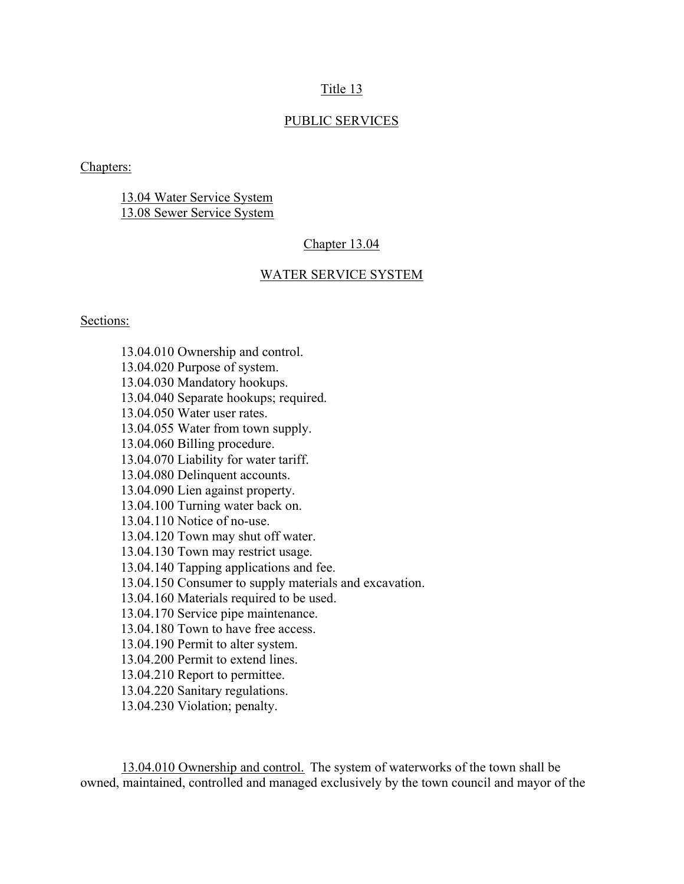# Title 13

### PUBLIC SERVICES

Chapters:

13.04 Water Service System 13.08 Sewer Service System

#### Chapter 13.04

### WATER SERVICE SYSTEM

### Sections:

 13.04.010 Ownership and control. 13.04.020 Purpose of system. 13.04.030 Mandatory hookups. 13.04.040 Separate hookups; required. 13.04.050 Water user rates. 13.04.055 Water from town supply. 13.04.060 Billing procedure. 13.04.070 Liability for water tariff. 13.04.080 Delinquent accounts. 13.04.090 Lien against property. 13.04.100 Turning water back on. 13.04.110 Notice of no-use. 13.04.120 Town may shut off water. 13.04.130 Town may restrict usage. 13.04.140 Tapping applications and fee. 13.04.150 Consumer to supply materials and excavation. 13.04.160 Materials required to be used. 13.04.170 Service pipe maintenance. 13.04.180 Town to have free access. 13.04.190 Permit to alter system. 13.04.200 Permit to extend lines. 13.04.210 Report to permittee. 13.04.220 Sanitary regulations. 13.04.230 Violation; penalty.

 13.04.010 Ownership and control. The system of waterworks of the town shall be owned, maintained, controlled and managed exclusively by the town council and mayor of the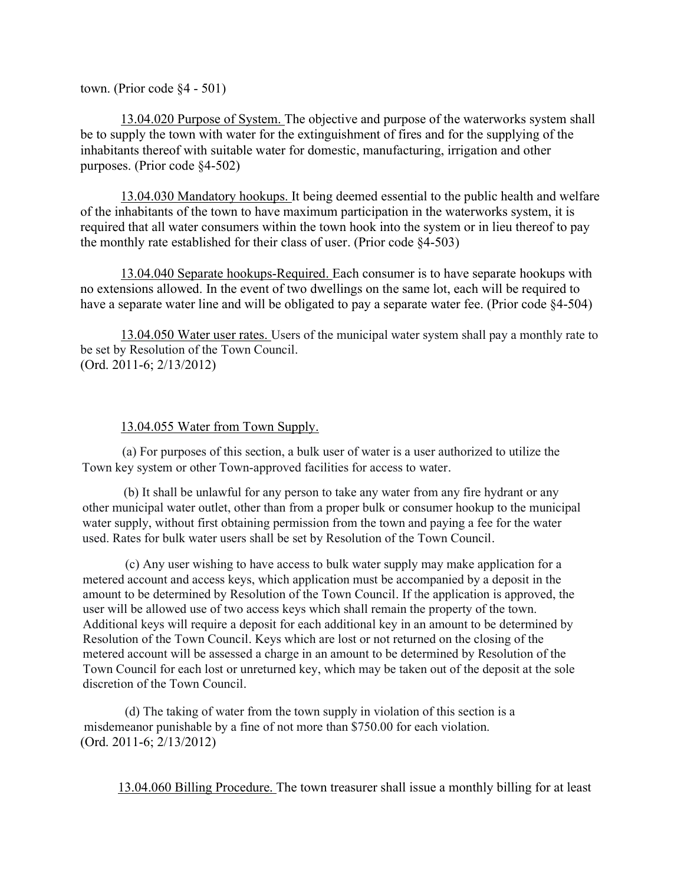town. (Prior code §4 - 501)

13.04.020 Purpose of System. The objective and purpose of the waterworks system shall be to supply the town with water for the extinguishment of fires and for the supplying of the inhabitants thereof with suitable water for domestic, manufacturing, irrigation and other purposes. (Prior code §4-502)

13.04.030 Mandatory hookups. It being deemed essential to the public health and welfare of the inhabitants of the town to have maximum participation in the waterworks system, it is required that all water consumers within the town hook into the system or in lieu thereof to pay the monthly rate established for their class of user. (Prior code §4-503)

13.04.040 Separate hookups-Required. Each consumer is to have separate hookups with no extensions allowed. In the event of two dwellings on the same lot, each will be required to have a separate water line and will be obligated to pay a separate water fee. (Prior code §4-504)

13.04.050 Water user rates. Users of the municipal water system shall pay a monthly rate to be set by Resolution of the Town Council. (Ord. 2011-6; 2/13/2012)

# 13.04.055 Water from Town Supply.

(a) For purposes of this section, a bulk user of water is a user authorized to utilize the Town key system or other Town-approved facilities for access to water.

(b) It shall be unlawful for any person to take any water from any fire hydrant or any other municipal water outlet, other than from a proper bulk or consumer hookup to the municipal water supply, without first obtaining permission from the town and paying a fee for the water used. Rates for bulk water users shall be set by Resolution of the Town Council.

(c) Any user wishing to have access to bulk water supply may make application for a metered account and access keys, which application must be accompanied by a deposit in the amount to be determined by Resolution of the Town Council. If the application is approved, the user will be allowed use of two access keys which shall remain the property of the town. Additional keys will require a deposit for each additional key in an amount to be determined by Resolution of the Town Council. Keys which are lost or not returned on the closing of the metered account will be assessed a charge in an amount to be determined by Resolution of the Town Council for each lost or unreturned key, which may be taken out of the deposit at the sole discretion of the Town Council.

(d) The taking of water from the town supply in violation of this section is a misdemeanor punishable by a fine of not more than \$750.00 for each violation. (Ord. 2011-6; 2/13/2012)

13.04.060 Billing Procedure. The town treasurer shall issue a monthly billing for at least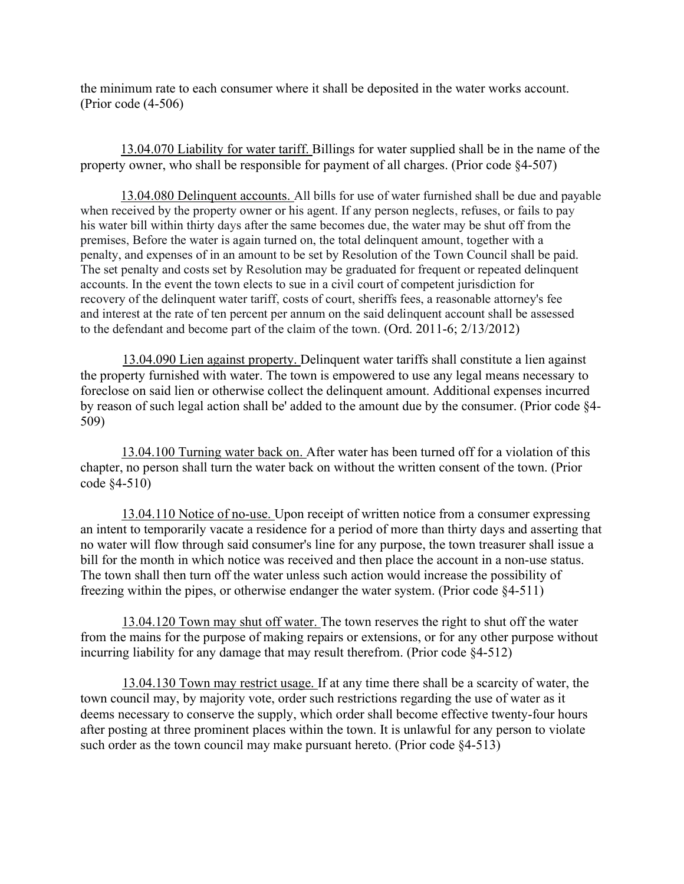the minimum rate to each consumer where it shall be deposited in the water works account. (Prior code (4-506)

13.04.070 Liability for water tariff. Billings for water supplied shall be in the name of the property owner, who shall be responsible for payment of all charges. (Prior code §4-507)

13.04.080 Delinquent accounts. All bills for use of water furnished shall be due and payable when received by the property owner or his agent. If any person neglects, refuses, or fails to pay his water bill within thirty days after the same becomes due, the water may be shut off from the premises, Before the water is again turned on, the total delinquent amount, together with a penalty, and expenses of in an amount to be set by Resolution of the Town Council shall be paid. The set penalty and costs set by Resolution may be graduated for frequent or repeated delinquent accounts. In the event the town elects to sue in a civil court of competent jurisdiction for recovery of the delinquent water tariff, costs of court, sheriffs fees, a reasonable attorney's fee and interest at the rate of ten percent per annum on the said delinquent account shall be assessed to the defendant and become part of the claim of the town. (Ord. 2011-6; 2/13/2012)

13.04.090 Lien against property. Delinquent water tariffs shall constitute a lien against the property furnished with water. The town is empowered to use any legal means necessary to foreclose on said lien or otherwise collect the delinquent amount. Additional expenses incurred by reason of such legal action shall be' added to the amount due by the consumer. (Prior code §4- 509)

13.04.100 Turning water back on. After water has been turned off for a violation of this chapter, no person shall turn the water back on without the written consent of the town. (Prior code §4-510)

13.04.110 Notice of no-use. Upon receipt of written notice from a consumer expressing an intent to temporarily vacate a residence for a period of more than thirty days and asserting that no water will flow through said consumer's line for any purpose, the town treasurer shall issue a bill for the month in which notice was received and then place the account in a non-use status. The town shall then turn off the water unless such action would increase the possibility of freezing within the pipes, or otherwise endanger the water system. (Prior code §4-511)

13.04.120 Town may shut off water. The town reserves the right to shut off the water from the mains for the purpose of making repairs or extensions, or for any other purpose without incurring liability for any damage that may result therefrom. (Prior code §4-512)

13.04.130 Town may restrict usage. If at any time there shall be a scarcity of water, the town council may, by majority vote, order such restrictions regarding the use of water as it deems necessary to conserve the supply, which order shall become effective twenty-four hours after posting at three prominent places within the town. It is unlawful for any person to violate such order as the town council may make pursuant hereto. (Prior code §4-513)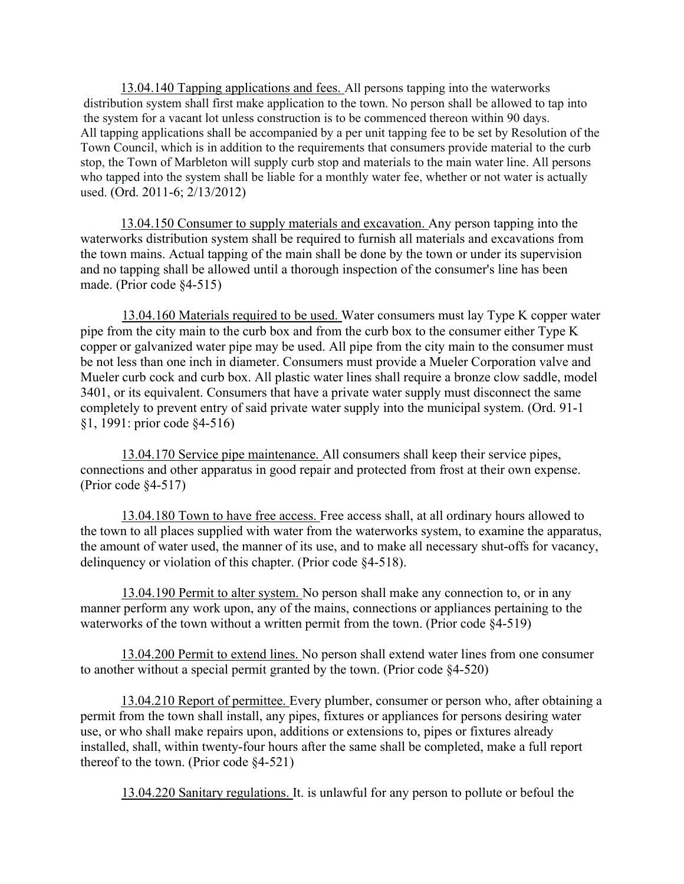13.04.140 Tapping applications and fees. All persons tapping into the waterworks distribution system shall first make application to the town. No person shall be allowed to tap into the system for a vacant lot unless construction is to be commenced thereon within 90 days. All tapping applications shall be accompanied by a per unit tapping fee to be set by Resolution of the Town Council, which is in addition to the requirements that consumers provide material to the curb stop, the Town of Marbleton will supply curb stop and materials to the main water line. All persons who tapped into the system shall be liable for a monthly water fee, whether or not water is actually used. (Ord. 2011-6; 2/13/2012)

13.04.150 Consumer to supply materials and excavation. Any person tapping into the waterworks distribution system shall be required to furnish all materials and excavations from the town mains. Actual tapping of the main shall be done by the town or under its supervision and no tapping shall be allowed until a thorough inspection of the consumer's line has been made. (Prior code §4-515)

13.04.160 Materials required to be used. Water consumers must lay Type K copper water pipe from the city main to the curb box and from the curb box to the consumer either Type K copper or galvanized water pipe may be used. All pipe from the city main to the consumer must be not less than one inch in diameter. Consumers must provide a Mueler Corporation valve and Mueler curb cock and curb box. All plastic water lines shall require a bronze clow saddle, model 3401, or its equivalent. Consumers that have a private water supply must disconnect the same completely to prevent entry of said private water supply into the municipal system. (Ord. 91-1 §1, 1991: prior code §4-516)

13.04.170 Service pipe maintenance. All consumers shall keep their service pipes, connections and other apparatus in good repair and protected from frost at their own expense. (Prior code §4-517)

13.04.180 Town to have free access. Free access shall, at all ordinary hours allowed to the town to all places supplied with water from the waterworks system, to examine the apparatus, the amount of water used, the manner of its use, and to make all necessary shut-offs for vacancy, delinquency or violation of this chapter. (Prior code §4-518).

13.04.190 Permit to alter system. No person shall make any connection to, or in any manner perform any work upon, any of the mains, connections or appliances pertaining to the waterworks of the town without a written permit from the town. (Prior code §4-519)

13.04.200 Permit to extend lines. No person shall extend water lines from one consumer to another without a special permit granted by the town. (Prior code §4-520)

13.04.210 Report of permittee. Every plumber, consumer or person who, after obtaining a permit from the town shall install, any pipes, fixtures or appliances for persons desiring water use, or who shall make repairs upon, additions or extensions to, pipes or fixtures already installed, shall, within twenty-four hours after the same shall be completed, make a full report thereof to the town. (Prior code §4-521)

13.04.220 Sanitary regulations. It. is unlawful for any person to pollute or befoul the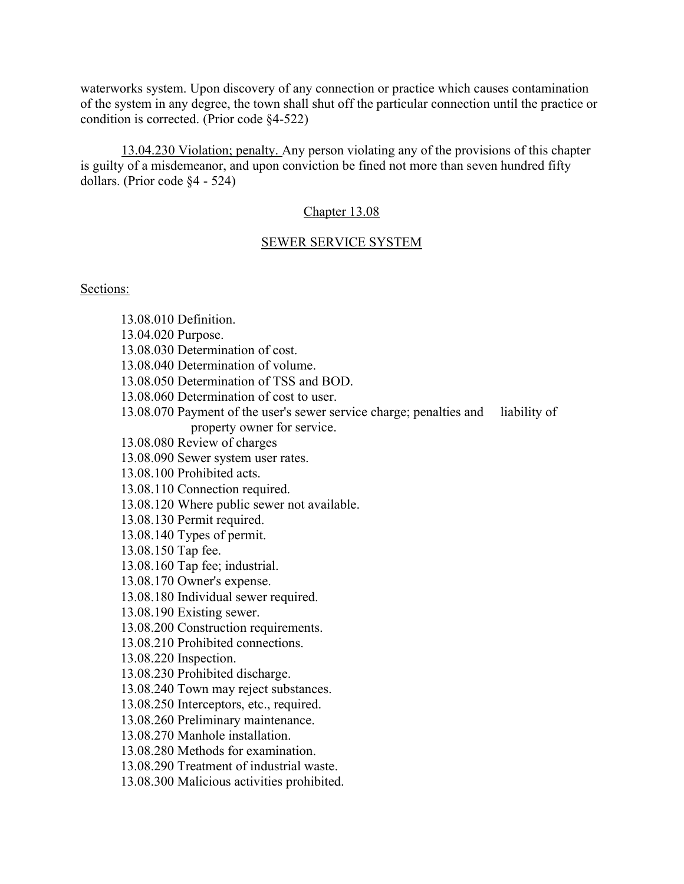waterworks system. Upon discovery of any connection or practice which causes contamination of the system in any degree, the town shall shut off the particular connection until the practice or condition is corrected. (Prior code §4-522)

13.04.230 Violation; penalty. Any person violating any of the provisions of this chapter is guilty of a misdemeanor, and upon conviction be fined not more than seven hundred fifty dollars. (Prior code §4 - 524)

# Chapter 13.08

# SEWER SERVICE SYSTEM

# Sections:

|                    | 13.08.010 Definition.                                               |              |
|--------------------|---------------------------------------------------------------------|--------------|
| 13.04.020 Purpose. |                                                                     |              |
|                    | 13.08.030 Determination of cost.                                    |              |
|                    | 13.08.040 Determination of volume.                                  |              |
|                    | 13.08.050 Determination of TSS and BOD.                             |              |
|                    | 13.08.060 Determination of cost to user.                            |              |
|                    | 13.08.070 Payment of the user's sewer service charge; penalties and | liability of |
|                    | property owner for service.                                         |              |
|                    | 13.08.080 Review of charges                                         |              |
|                    | 13.08.090 Sewer system user rates.                                  |              |
|                    | 13.08.100 Prohibited acts.                                          |              |
|                    | 13.08.110 Connection required.                                      |              |
|                    | 13.08.120 Where public sewer not available.                         |              |
|                    | 13.08.130 Permit required.                                          |              |
|                    | 13.08.140 Types of permit.                                          |              |
| 13.08.150 Tap fee. |                                                                     |              |
|                    | 13.08.160 Tap fee; industrial.                                      |              |
|                    | 13.08.170 Owner's expense.                                          |              |
|                    | 13.08.180 Individual sewer required.                                |              |
|                    | 13.08.190 Existing sewer.                                           |              |
|                    | 13.08.200 Construction requirements.                                |              |
|                    | 13.08.210 Prohibited connections.                                   |              |
|                    | 13.08.220 Inspection.                                               |              |
|                    | 13.08.230 Prohibited discharge.                                     |              |
|                    | 13.08.240 Town may reject substances.                               |              |
|                    | 13.08.250 Interceptors, etc., required.                             |              |
|                    | 13.08.260 Preliminary maintenance.                                  |              |
|                    | 13.08.270 Manhole installation.                                     |              |
|                    | 13.08.280 Methods for examination.                                  |              |
|                    | 13.08.290 Treatment of industrial waste.                            |              |
|                    | 13.08.300 Malicious activities prohibited.                          |              |
|                    |                                                                     |              |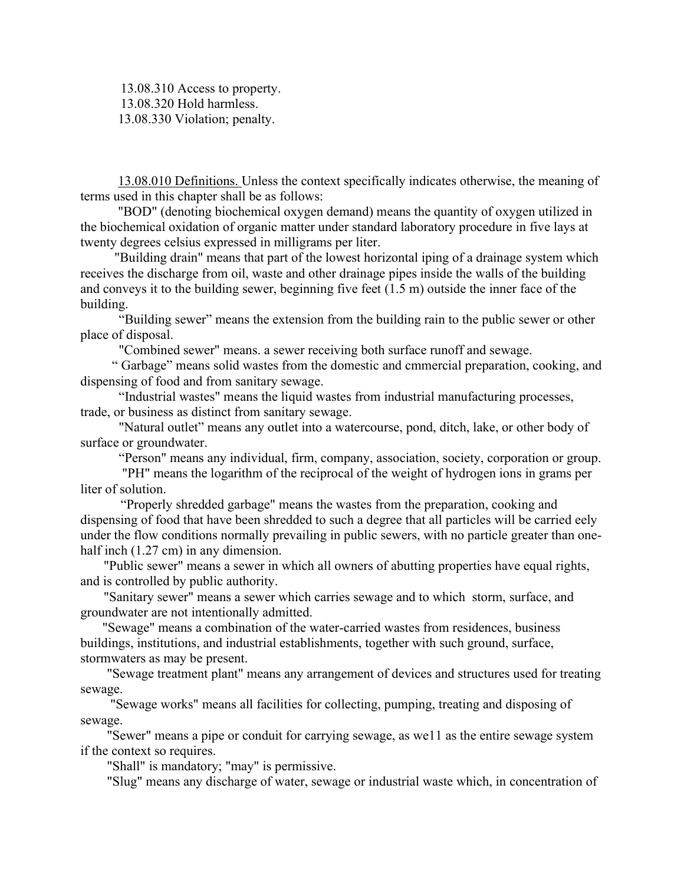13.08.310 Access to property. 13.08.320 Hold harmless. 13.08.330 Violation; penalty.

13.08.010 Definitions. Unless the context specifically indicates otherwise, the meaning of terms used in this chapter shall be as follows:

"BOD" (denoting biochemical oxygen demand) means the quantity of oxygen utilized in the biochemical oxidation of organic matter under standard laboratory procedure in five lays at twenty degrees celsius expressed in milligrams per liter.

"Building drain" means that part of the lowest horizontal iping of a drainage system which receives the discharge from oil, waste and other drainage pipes inside the walls of the building and conveys it to the building sewer, beginning five feet (1.5 m) outside the inner face of the building.

 "Building sewer" means the extension from the building rain to the public sewer or other place of disposal.

"Combined sewer" means. a sewer receiving both surface runoff and sewage.

" Garbage" means solid wastes from the domestic and cmmercial preparation, cooking, and dispensing of food and from sanitary sewage.

 "Industrial wastes" means the liquid wastes from industrial manufacturing processes, trade, or business as distinct from sanitary sewage.

 "Natural outlet" means any outlet into a watercourse, pond, ditch, lake, or other body of surface or groundwater.

"Person" means any individual, firm, company, association, society, corporation or group.

 "PH" means the logarithm of the reciprocal of the weight of hydrogen ions in grams per liter of solution.

"Properly shredded garbage" means the wastes from the preparation, cooking and dispensing of food that have been shredded to such a degree that all particles will be carried eely under the flow conditions normally prevailing in public sewers, with no particle greater than onehalf inch  $(1.27 \text{ cm})$  in any dimension.

"Public sewer" means a sewer in which all owners of abutting properties have equal rights, and is controlled by public authority.

"Sanitary sewer" means a sewer which carries sewage and to which storm, surface, and groundwater are not intentionally admitted.

"Sewage" means a combination of the water-carried wastes from residences, business buildings, institutions, and industrial establishments, together with such ground, surface, stormwaters as may be present.

"Sewage treatment plant" means any arrangement of devices and structures used for treating sewage.

 "Sewage works" means all facilities for collecting, pumping, treating and disposing of sewage.

 "Sewer" means a pipe or conduit for carrying sewage, as we11 as the entire sewage system if the context so requires.

"Shall" is mandatory; "may" is permissive.

"Slug" means any discharge of water, sewage or industrial waste which, in concentration of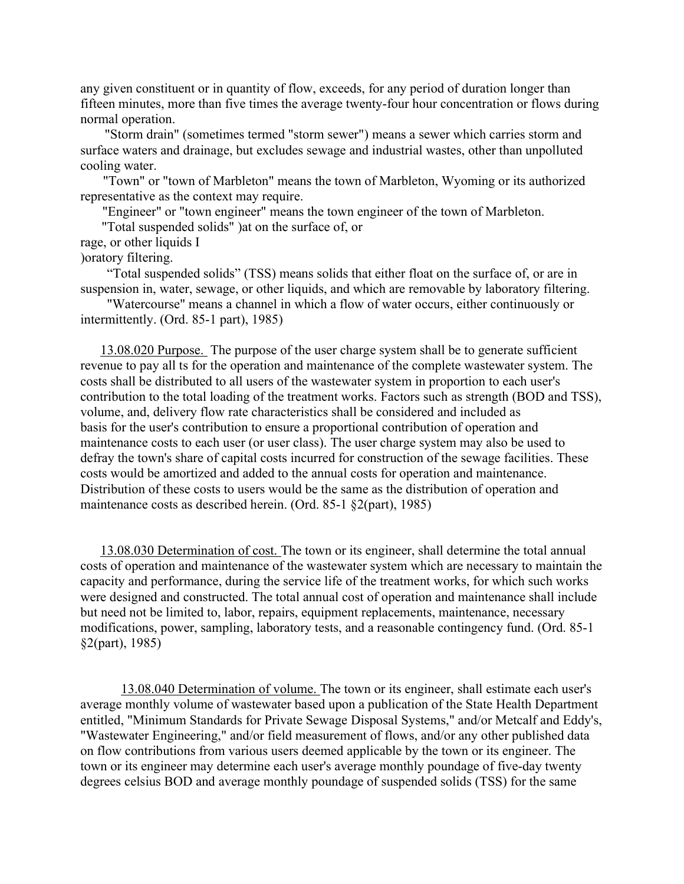any given constituent or in quantity of flow, exceeds, for any period of duration longer than fifteen minutes, more than five times the average twenty-four hour concentration or flows during normal operation.

"Storm drain" (sometimes termed "storm sewer") means a sewer which carries storm and surface waters and drainage, but excludes sewage and industrial wastes, other than unpolluted cooling water.

"Town" or "town of Marbleton" means the town of Marbleton, Wyoming or its authorized representative as the context may require.

"Engineer" or "town engineer" means the town engineer of the town of Marbleton.

"Total suspended solids" )at on the surface of, or

rage, or other liquids I

)oratory filtering.

 "Total suspended solids" (TSS) means solids that either float on the surface of, or are in suspension in, water, sewage, or other liquids, and which are removable by laboratory filtering.

 "Watercourse" means a channel in which a flow of water occurs, either continuously or intermittently. (Ord. 85-1 part), 1985)

13.08.020 Purpose. The purpose of the user charge system shall be to generate sufficient revenue to pay all ts for the operation and maintenance of the complete wastewater system. The costs shall be distributed to all users of the wastewater system in proportion to each user's contribution to the total loading of the treatment works. Factors such as strength (BOD and TSS), volume, and, delivery flow rate characteristics shall be considered and included as basis for the user's contribution to ensure a proportional contribution of operation and maintenance costs to each user (or user class). The user charge system may also be used to defray the town's share of capital costs incurred for construction of the sewage facilities. These costs would be amortized and added to the annual costs for operation and maintenance. Distribution of these costs to users would be the same as the distribution of operation and maintenance costs as described herein. (Ord. 85-1 §2(part), 1985)

13.08.030 Determination of cost. The town or its engineer, shall determine the total annual costs of operation and maintenance of the wastewater system which are necessary to maintain the capacity and performance, during the service life of the treatment works, for which such works were designed and constructed. The total annual cost of operation and maintenance shall include but need not be limited to, labor, repairs, equipment replacements, maintenance, necessary modifications, power, sampling, laboratory tests, and a reasonable contingency fund. (Ord. 85-1 §2(part), 1985)

13.08.040 Determination of volume. The town or its engineer, shall estimate each user's average monthly volume of wastewater based upon a publication of the State Health Department entitled, "Minimum Standards for Private Sewage Disposal Systems," and/or Metcalf and Eddy's, "Wastewater Engineering," and/or field measurement of flows, and/or any other published data on flow contributions from various users deemed applicable by the town or its engineer. The town or its engineer may determine each user's average monthly poundage of five-day twenty degrees celsius BOD and average monthly poundage of suspended solids (TSS) for the same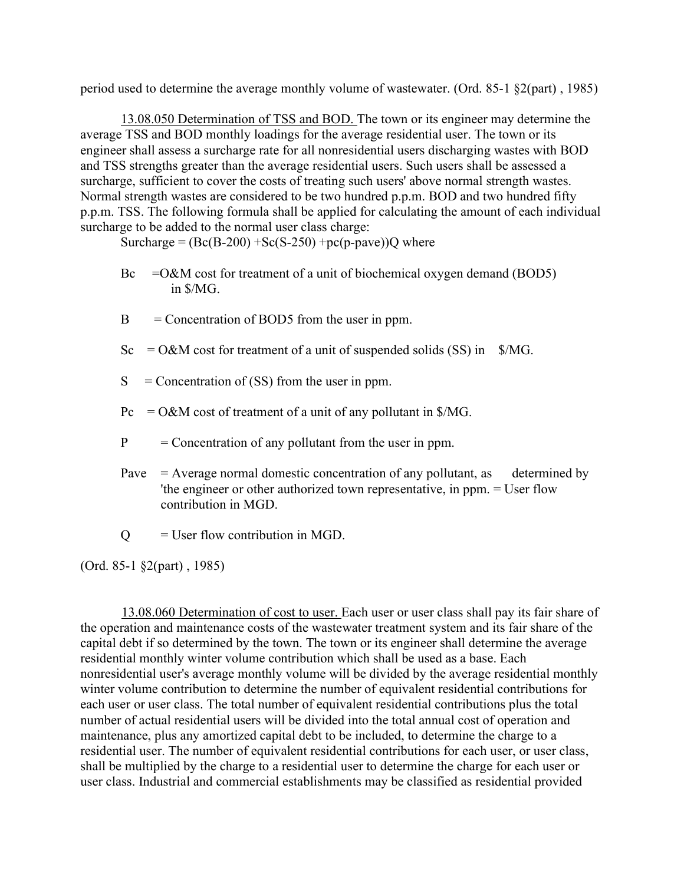period used to determine the average monthly volume of wastewater. (Ord. 85-1 §2(part) , 1985)

13.08.050 Determination of TSS and BOD. The town or its engineer may determine the average TSS and BOD monthly loadings for the average residential user. The town or its engineer shall assess a surcharge rate for all nonresidential users discharging wastes with BOD and TSS strengths greater than the average residential users. Such users shall be assessed a surcharge, sufficient to cover the costs of treating such users' above normal strength wastes. Normal strength wastes are considered to be two hundred p.p.m. BOD and two hundred fifty p.p.m. TSS. The following formula shall be applied for calculating the amount of each individual surcharge to be added to the normal user class charge:

Surcharge =  $(Be(B-200) + Se(S-250) + pc(p\text{-}pave))Q$  where

- $Bc = 0$ &M cost for treatment of a unit of biochemical oxygen demand (BOD5) in \$/MG.
- $B =$  Concentration of BOD5 from the user in ppm.
- $Sc = O&M \text{ cost for treatment of a unit of suspended solids (SS) in } \$
- $S =$  Concentration of (SS) from the user in ppm.
- $Pc = O\&M$  cost of treatment of a unit of any pollutant in \$/MG.
- $P =$  Concentration of any pollutant from the user in ppm.
- Pave  $=$  Average normal domestic concentration of any pollutant, as determined by 'the engineer or other authorized town representative, in ppm. = User flow contribution in MGD.
- $Q = U$ ser flow contribution in MGD.

(Ord. 85-1 §2(part) , 1985)

13.08.060 Determination of cost to user. Each user or user class shall pay its fair share of the operation and maintenance costs of the wastewater treatment system and its fair share of the capital debt if so determined by the town. The town or its engineer shall determine the average residential monthly winter volume contribution which shall be used as a base. Each nonresidential user's average monthly volume will be divided by the average residential monthly winter volume contribution to determine the number of equivalent residential contributions for each user or user class. The total number of equivalent residential contributions plus the total number of actual residential users will be divided into the total annual cost of operation and maintenance, plus any amortized capital debt to be included, to determine the charge to a residential user. The number of equivalent residential contributions for each user, or user class, shall be multiplied by the charge to a residential user to determine the charge for each user or user class. Industrial and commercial establishments may be classified as residential provided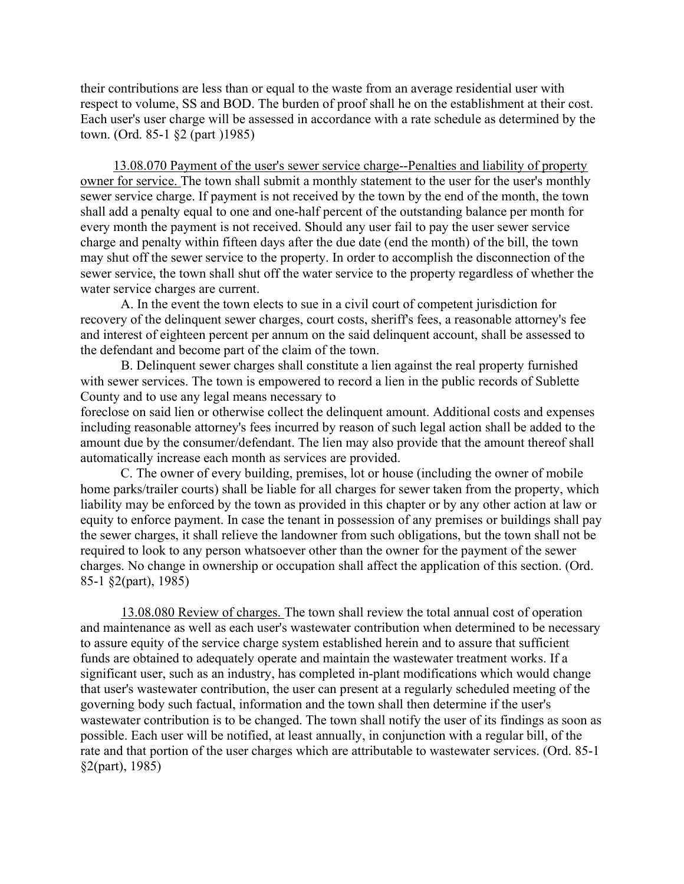their contributions are less than or equal to the waste from an average residential user with respect to volume, SS and BOD. The burden of proof shall he on the establishment at their cost. Each user's user charge will be assessed in accordance with a rate schedule as determined by the town. (Ord. 85-1 §2 (part )1985)

13.08.070 Payment of the user's sewer service charge--Penalties and liability of property owner for service. The town shall submit a monthly statement to the user for the user's monthly sewer service charge. If payment is not received by the town by the end of the month, the town shall add a penalty equal to one and one-half percent of the outstanding balance per month for every month the payment is not received. Should any user fail to pay the user sewer service charge and penalty within fifteen days after the due date (end the month) of the bill, the town may shut off the sewer service to the property. In order to accomplish the disconnection of the sewer service, the town shall shut off the water service to the property regardless of whether the water service charges are current.

 A. In the event the town elects to sue in a civil court of competent jurisdiction for recovery of the delinquent sewer charges, court costs, sheriff's fees, a reasonable attorney's fee and interest of eighteen percent per annum on the said delinquent account, shall be assessed to the defendant and become part of the claim of the town.

B. Delinquent sewer charges shall constitute a lien against the real property furnished with sewer services. The town is empowered to record a lien in the public records of Sublette County and to use any legal means necessary to

foreclose on said lien or otherwise collect the delinquent amount. Additional costs and expenses including reasonable attorney's fees incurred by reason of such legal action shall be added to the amount due by the consumer/defendant. The lien may also provide that the amount thereof shall automatically increase each month as services are provided.

C. The owner of every building, premises, lot or house (including the owner of mobile home parks/trailer courts) shall be liable for all charges for sewer taken from the property, which liability may be enforced by the town as provided in this chapter or by any other action at law or equity to enforce payment. In case the tenant in possession of any premises or buildings shall pay the sewer charges, it shall relieve the landowner from such obligations, but the town shall not be required to look to any person whatsoever other than the owner for the payment of the sewer charges. No change in ownership or occupation shall affect the application of this section. (Ord. 85-1 §2(part), 1985)

13.08.080 Review of charges. The town shall review the total annual cost of operation and maintenance as well as each user's wastewater contribution when determined to be necessary to assure equity of the service charge system established herein and to assure that sufficient funds are obtained to adequately operate and maintain the wastewater treatment works. If a significant user, such as an industry, has completed in-plant modifications which would change that user's wastewater contribution, the user can present at a regularly scheduled meeting of the governing body such factual, information and the town shall then determine if the user's wastewater contribution is to be changed. The town shall notify the user of its findings as soon as possible. Each user will be notified, at least annually, in conjunction with a regular bill, of the rate and that portion of the user charges which are attributable to wastewater services. (Ord. 85-1 §2(part), 1985)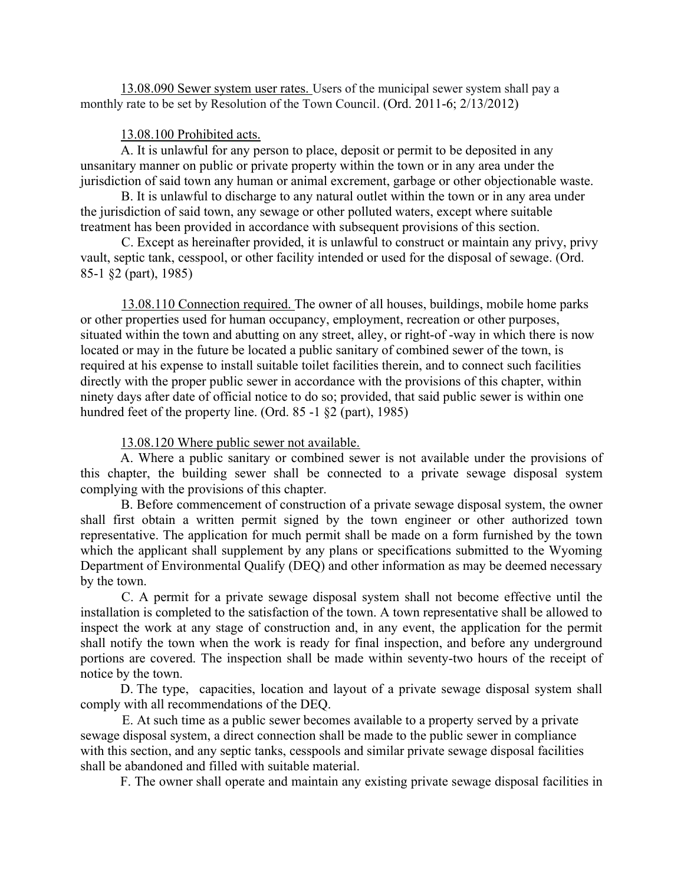13.08.090 Sewer system user rates. Users of the municipal sewer system shall pay a monthly rate to be set by Resolution of the Town Council. (Ord. 2011-6; 2/13/2012)

#### 13.08.100 Prohibited acts.

A. It is unlawful for any person to place, deposit or permit to be deposited in any unsanitary manner on public or private property within the town or in any area under the jurisdiction of said town any human or animal excrement, garbage or other objectionable waste.

B. It is unlawful to discharge to any natural outlet within the town or in any area under the jurisdiction of said town, any sewage or other polluted waters, except where suitable treatment has been provided in accordance with subsequent provisions of this section.

C. Except as hereinafter provided, it is unlawful to construct or maintain any privy, privy vault, septic tank, cesspool, or other facility intended or used for the disposal of sewage. (Ord. 85-1 §2 (part), 1985)

13.08.110 Connection required. The owner of all houses, buildings, mobile home parks or other properties used for human occupancy, employment, recreation or other purposes, situated within the town and abutting on any street, alley, or right-of -way in which there is now located or may in the future be located a public sanitary of combined sewer of the town, is required at his expense to install suitable toilet facilities therein, and to connect such facilities directly with the proper public sewer in accordance with the provisions of this chapter, within ninety days after date of official notice to do so; provided, that said public sewer is within one hundred feet of the property line. (Ord. 85 -1  $\S$ 2 (part), 1985)

### 13.08.120 Where public sewer not available.

 A. Where a public sanitary or combined sewer is not available under the provisions of this chapter, the building sewer shall be connected to a private sewage disposal system complying with the provisions of this chapter.

B. Before commencement of construction of a private sewage disposal system, the owner shall first obtain a written permit signed by the town engineer or other authorized town representative. The application for much permit shall be made on a form furnished by the town which the applicant shall supplement by any plans or specifications submitted to the Wyoming Department of Environmental Qualify (DEQ) and other information as may be deemed necessary by the town.

C. A permit for a private sewage disposal system shall not become effective until the installation is completed to the satisfaction of the town. A town representative shall be allowed to inspect the work at any stage of construction and, in any event, the application for the permit shall notify the town when the work is ready for final inspection, and before any underground portions are covered. The inspection shall be made within seventy-two hours of the receipt of notice by the town.

 D. The type, capacities, location and layout of a private sewage disposal system shall comply with all recommendations of the DEQ.

E. At such time as a public sewer becomes available to a property served by a private sewage disposal system, a direct connection shall be made to the public sewer in compliance with this section, and any septic tanks, cesspools and similar private sewage disposal facilities shall be abandoned and filled with suitable material.

F. The owner shall operate and maintain any existing private sewage disposal facilities in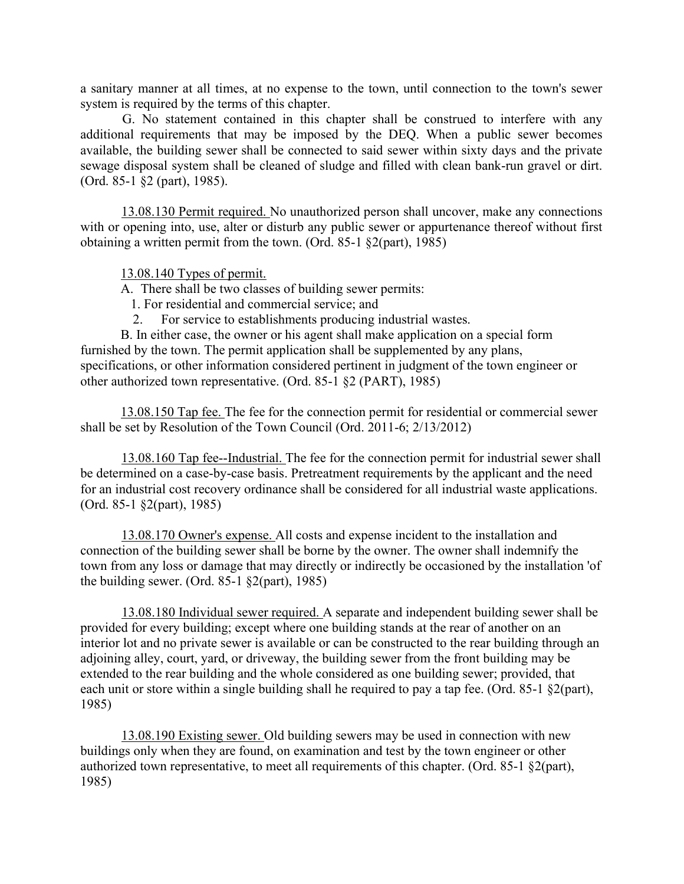a sanitary manner at all times, at no expense to the town, until connection to the town's sewer system is required by the terms of this chapter.

G. No statement contained in this chapter shall be construed to interfere with any additional requirements that may be imposed by the DEQ. When a public sewer becomes available, the building sewer shall be connected to said sewer within sixty days and the private sewage disposal system shall be cleaned of sludge and filled with clean bank-run gravel or dirt. (Ord. 85-1 §2 (part), 1985).

13.08.130 Permit required. No unauthorized person shall uncover, make any connections with or opening into, use, alter or disturb any public sewer or appurtenance thereof without first obtaining a written permit from the town. (Ord. 85-1 §2(part), 1985)

13.08.140 Types of permit.

A. There shall be two classes of building sewer permits:

- 1. For residential and commercial service; and
- 2. For service to establishments producing industrial wastes.

B. In either case, the owner or his agent shall make application on a special form furnished by the town. The permit application shall be supplemented by any plans, specifications, or other information considered pertinent in judgment of the town engineer or other authorized town representative. (Ord. 85-1 §2 (PART), 1985)

13.08.150 Tap fee. The fee for the connection permit for residential or commercial sewer shall be set by Resolution of the Town Council (Ord. 2011-6; 2/13/2012)

13.08.160 Tap fee--Industrial. The fee for the connection permit for industrial sewer shall be determined on a case-by-case basis. Pretreatment requirements by the applicant and the need for an industrial cost recovery ordinance shall be considered for all industrial waste applications. (Ord. 85-1 §2(part), 1985)

13.08.170 Owner's expense. All costs and expense incident to the installation and connection of the building sewer shall be borne by the owner. The owner shall indemnify the town from any loss or damage that may directly or indirectly be occasioned by the installation 'of the building sewer. (Ord. 85-1 §2(part), 1985)

13.08.180 Individual sewer required. A separate and independent building sewer shall be provided for every building; except where one building stands at the rear of another on an interior lot and no private sewer is available or can be constructed to the rear building through an adjoining alley, court, yard, or driveway, the building sewer from the front building may be extended to the rear building and the whole considered as one building sewer; provided, that each unit or store within a single building shall he required to pay a tap fee. (Ord. 85-1 §2(part), 1985)

13.08.190 Existing sewer. Old building sewers may be used in connection with new buildings only when they are found, on examination and test by the town engineer or other authorized town representative, to meet all requirements of this chapter. (Ord. 85-1 §2(part), 1985)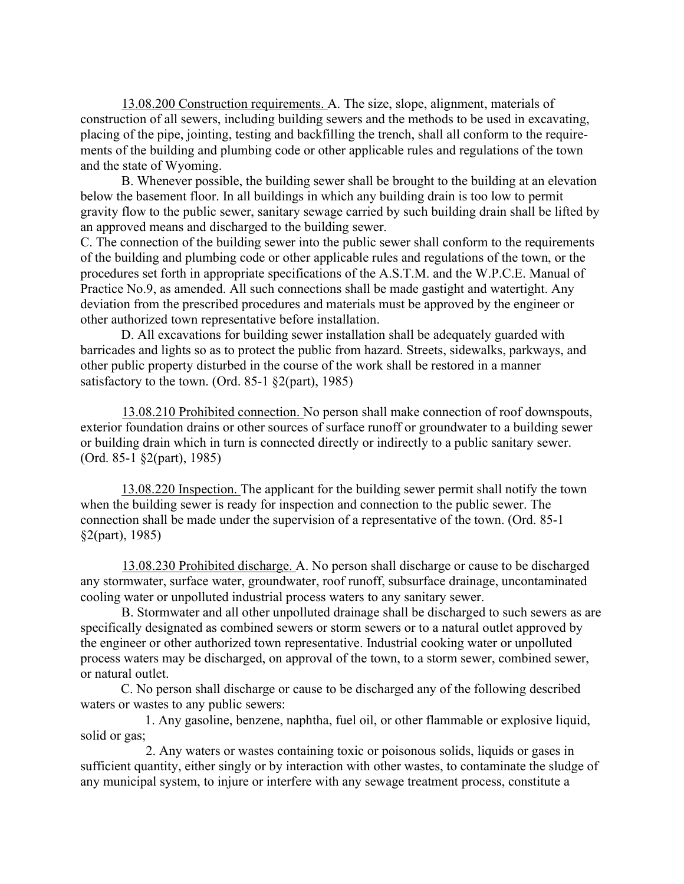13.08.200 Construction requirements. A. The size, slope, alignment, materials of construction of all sewers, including building sewers and the methods to be used in excavating, placing of the pipe, jointing, testing and backfilling the trench, shall all conform to the requirements of the building and plumbing code or other applicable rules and regulations of the town and the state of Wyoming.

B. Whenever possible, the building sewer shall be brought to the building at an elevation below the basement floor. In all buildings in which any building drain is too low to permit gravity flow to the public sewer, sanitary sewage carried by such building drain shall be lifted by an approved means and discharged to the building sewer.

C. The connection of the building sewer into the public sewer shall conform to the requirements of the building and plumbing code or other applicable rules and regulations of the town, or the procedures set forth in appropriate specifications of the A.S.T.M. and the W.P.C.E. Manual of Practice No.9, as amended. All such connections shall be made gastight and watertight. Any deviation from the prescribed procedures and materials must be approved by the engineer or other authorized town representative before installation.

D. All excavations for building sewer installation shall be adequately guarded with barricades and lights so as to protect the public from hazard. Streets, sidewalks, parkways, and other public property disturbed in the course of the work shall be restored in a manner satisfactory to the town. (Ord. 85-1 §2(part), 1985)

13.08.210 Prohibited connection. No person shall make connection of roof downspouts, exterior foundation drains or other sources of surface runoff or groundwater to a building sewer or building drain which in turn is connected directly or indirectly to a public sanitary sewer. (Ord. 85-1 §2(part), 1985)

13.08.220 Inspection. The applicant for the building sewer permit shall notify the town when the building sewer is ready for inspection and connection to the public sewer. The connection shall be made under the supervision of a representative of the town. (Ord. 85-1 §2(part), 1985)

13.08.230 Prohibited discharge. A. No person shall discharge or cause to be discharged any stormwater, surface water, groundwater, roof runoff, subsurface drainage, uncontaminated cooling water or unpolluted industrial process waters to any sanitary sewer.

B. Stormwater and all other unpolluted drainage shall be discharged to such sewers as are specifically designated as combined sewers or storm sewers or to a natural outlet approved by the engineer or other authorized town representative. Industrial cooking water or unpolluted process waters may be discharged, on approval of the town, to a storm sewer, combined sewer, or natural outlet.

C. No person shall discharge or cause to be discharged any of the following described waters or wastes to any public sewers:

1. Any gasoline, benzene, naphtha, fuel oil, or other flammable or explosive liquid, solid or gas;

2. Any waters or wastes containing toxic or poisonous solids, liquids or gases in sufficient quantity, either singly or by interaction with other wastes, to contaminate the sludge of any municipal system, to injure or interfere with any sewage treatment process, constitute a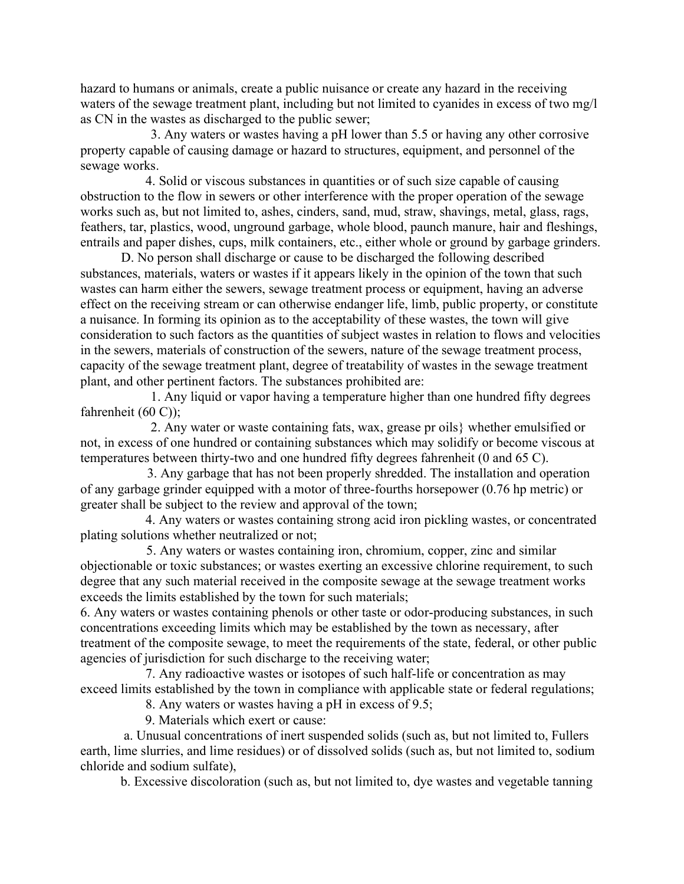hazard to humans or animals, create a public nuisance or create any hazard in the receiving waters of the sewage treatment plant, including but not limited to cyanides in excess of two mg/l as CN in the wastes as discharged to the public sewer;

3. Any waters or wastes having a pH lower than 5.5 or having any other corrosive property capable of causing damage or hazard to structures, equipment, and personnel of the sewage works.

4. Solid or viscous substances in quantities or of such size capable of causing obstruction to the flow in sewers or other interference with the proper operation of the sewage works such as, but not limited to, ashes, cinders, sand, mud, straw, shavings, metal, glass, rags, feathers, tar, plastics, wood, unground garbage, whole blood, paunch manure, hair and fleshings, entrails and paper dishes, cups, milk containers, etc., either whole or ground by garbage grinders.

D. No person shall discharge or cause to be discharged the following described substances, materials, waters or wastes if it appears likely in the opinion of the town that such wastes can harm either the sewers, sewage treatment process or equipment, having an adverse effect on the receiving stream or can otherwise endanger life, limb, public property, or constitute a nuisance. In forming its opinion as to the acceptability of these wastes, the town will give consideration to such factors as the quantities of subject wastes in relation to flows and velocities in the sewers, materials of construction of the sewers, nature of the sewage treatment process, capacity of the sewage treatment plant, degree of treatability of wastes in the sewage treatment plant, and other pertinent factors. The substances prohibited are:

1. Any liquid or vapor having a temperature higher than one hundred fifty degrees fahrenheit (60 C));

2. Any water or waste containing fats, wax, grease pr oils} whether emulsified or not, in excess of one hundred or containing substances which may solidify or become viscous at temperatures between thirty-two and one hundred fifty degrees fahrenheit (0 and 65 C).

3. Any garbage that has not been properly shredded. The installation and operation of any garbage grinder equipped with a motor of three-fourths horsepower (0.76 hp metric) or greater shall be subject to the review and approval of the town;

4. Any waters or wastes containing strong acid iron pickling wastes, or concentrated plating solutions whether neutralized or not;

5. Any waters or wastes containing iron, chromium, copper, zinc and similar objectionable or toxic substances; or wastes exerting an excessive chlorine requirement, to such degree that any such material received in the composite sewage at the sewage treatment works exceeds the limits established by the town for such materials;

6. Any waters or wastes containing phenols or other taste or odor-producing substances, in such concentrations exceeding limits which may be established by the town as necessary, after treatment of the composite sewage, to meet the requirements of the state, federal, or other public agencies of jurisdiction for such discharge to the receiving water;

7. Any radioactive wastes or isotopes of such half-life or concentration as may exceed limits established by the town in compliance with applicable state or federal regulations;

8. Any waters or wastes having a pH in excess of 9.5;

9. Materials which exert or cause:

 a. Unusual concentrations of inert suspended solids (such as, but not limited to, Fullers earth, lime slurries, and lime residues) or of dissolved solids (such as, but not limited to, sodium chloride and sodium sulfate),

b. Excessive discoloration (such as, but not limited to, dye wastes and vegetable tanning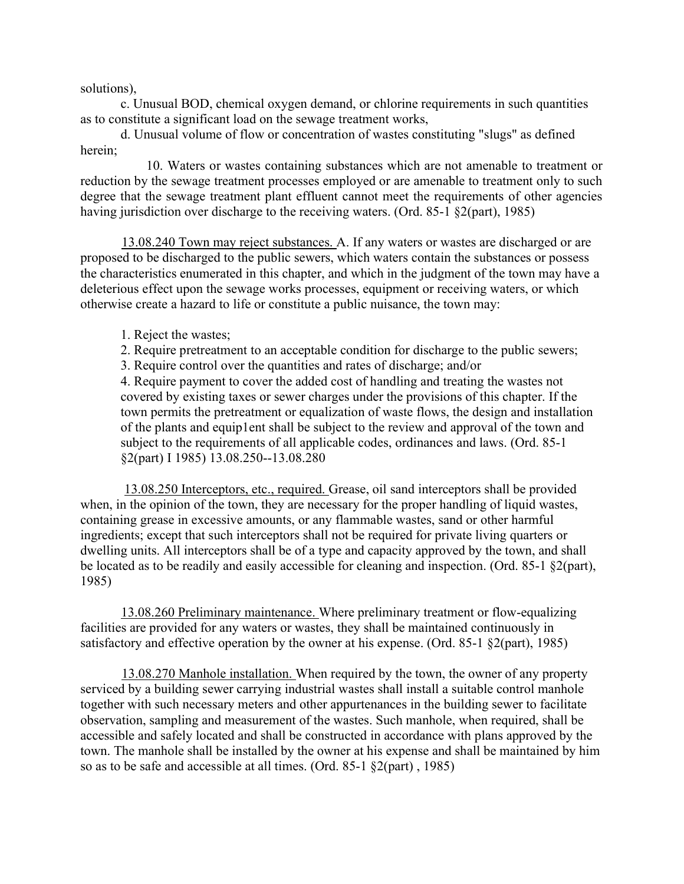solutions),

c. Unusual BOD, chemical oxygen demand, or chlorine requirements in such quantities as to constitute a significant load on the sewage treatment works,

d. Unusual volume of flow or concentration of wastes constituting "slugs" as defined herein;

10. Waters or wastes containing substances which are not amenable to treatment or reduction by the sewage treatment processes employed or are amenable to treatment only to such degree that the sewage treatment plant effluent cannot meet the requirements of other agencies having jurisdiction over discharge to the receiving waters. (Ord. 85-1 §2(part), 1985)

13.08.240 Town may reject substances. A. If any waters or wastes are discharged or are proposed to be discharged to the public sewers, which waters contain the substances or possess the characteristics enumerated in this chapter, and which in the judgment of the town may have a deleterious effect upon the sewage works processes, equipment or receiving waters, or which otherwise create a hazard to life or constitute a public nuisance, the town may:

- 1. Reject the wastes;
- 2. Require pretreatment to an acceptable condition for discharge to the public sewers;
- 3. Require control over the quantities and rates of discharge; and/or

4. Require payment to cover the added cost of handling and treating the wastes not covered by existing taxes or sewer charges under the provisions of this chapter. If the town permits the pretreatment or equalization of waste flows, the design and installation of the plants and equip1ent shall be subject to the review and approval of the town and subject to the requirements of all applicable codes, ordinances and laws. (Ord. 85-1 §2(part) I 1985) 13.08.250--13.08.280

13.08.250 Interceptors, etc., required. Grease, oil sand interceptors shall be provided when, in the opinion of the town, they are necessary for the proper handling of liquid wastes, containing grease in excessive amounts, or any flammable wastes, sand or other harmful ingredients; except that such interceptors shall not be required for private living quarters or dwelling units. All interceptors shall be of a type and capacity approved by the town, and shall be located as to be readily and easily accessible for cleaning and inspection. (Ord. 85-1 §2(part), 1985)

13.08.260 Preliminary maintenance. Where preliminary treatment or flow-equalizing facilities are provided for any waters or wastes, they shall be maintained continuously in satisfactory and effective operation by the owner at his expense. (Ord. 85-1 §2(part), 1985)

13.08.270 Manhole installation. When required by the town, the owner of any property serviced by a building sewer carrying industrial wastes shall install a suitable control manhole together with such necessary meters and other appurtenances in the building sewer to facilitate observation, sampling and measurement of the wastes. Such manhole, when required, shall be accessible and safely located and shall be constructed in accordance with plans approved by the town. The manhole shall be installed by the owner at his expense and shall be maintained by him so as to be safe and accessible at all times. (Ord. 85-1 §2(part) , 1985)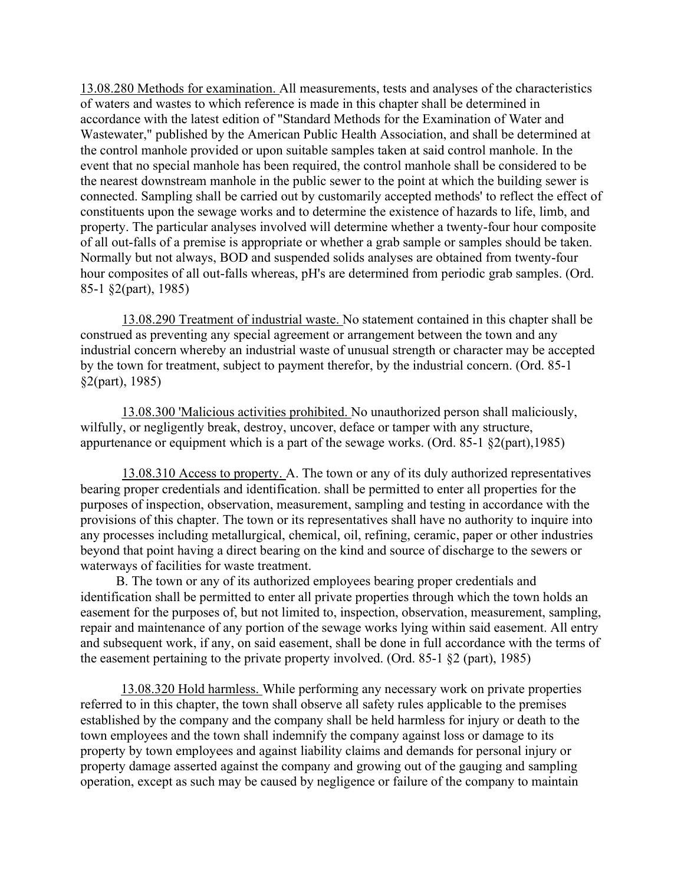13.08.280 Methods for examination. All measurements, tests and analyses of the characteristics of waters and wastes to which reference is made in this chapter shall be determined in accordance with the latest edition of "Standard Methods for the Examination of Water and Wastewater," published by the American Public Health Association, and shall be determined at the control manhole provided or upon suitable samples taken at said control manhole. In the event that no special manhole has been required, the control manhole shall be considered to be the nearest downstream manhole in the public sewer to the point at which the building sewer is connected. Sampling shall be carried out by customarily accepted methods' to reflect the effect of constituents upon the sewage works and to determine the existence of hazards to life, limb, and property. The particular analyses involved will determine whether a twenty-four hour composite of all out-falls of a premise is appropriate or whether a grab sample or samples should be taken. Normally but not always, BOD and suspended solids analyses are obtained from twenty-four hour composites of all out-falls whereas, pH's are determined from periodic grab samples. (Ord. 85-1 §2(part), 1985)

13.08.290 Treatment of industrial waste. No statement contained in this chapter shall be construed as preventing any special agreement or arrangement between the town and any industrial concern whereby an industrial waste of unusual strength or character may be accepted by the town for treatment, subject to payment therefor, by the industrial concern. (Ord. 85-1 §2(part), 1985)

13.08.300 'Malicious activities prohibited. No unauthorized person shall maliciously, wilfully, or negligently break, destroy, uncover, deface or tamper with any structure, appurtenance or equipment which is a part of the sewage works. (Ord. 85-1 §2(part),1985)

13.08.310 Access to property. A. The town or any of its duly authorized representatives bearing proper credentials and identification. shall be permitted to enter all properties for the purposes of inspection, observation, measurement, sampling and testing in accordance with the provisions of this chapter. The town or its representatives shall have no authority to inquire into any processes including metallurgical, chemical, oil, refining, ceramic, paper or other industries beyond that point having a direct bearing on the kind and source of discharge to the sewers or waterways of facilities for waste treatment.

B. The town or any of its authorized employees bearing proper credentials and identification shall be permitted to enter all private properties through which the town holds an easement for the purposes of, but not limited to, inspection, observation, measurement, sampling, repair and maintenance of any portion of the sewage works lying within said easement. All entry and subsequent work, if any, on said easement, shall be done in full accordance with the terms of the easement pertaining to the private property involved. (Ord. 85-1 §2 (part), 1985)

13.08.320 Hold harmless. While performing any necessary work on private properties referred to in this chapter, the town shall observe all safety rules applicable to the premises established by the company and the company shall be held harmless for injury or death to the town employees and the town shall indemnify the company against loss or damage to its property by town employees and against liability claims and demands for personal injury or property damage asserted against the company and growing out of the gauging and sampling operation, except as such may be caused by negligence or failure of the company to maintain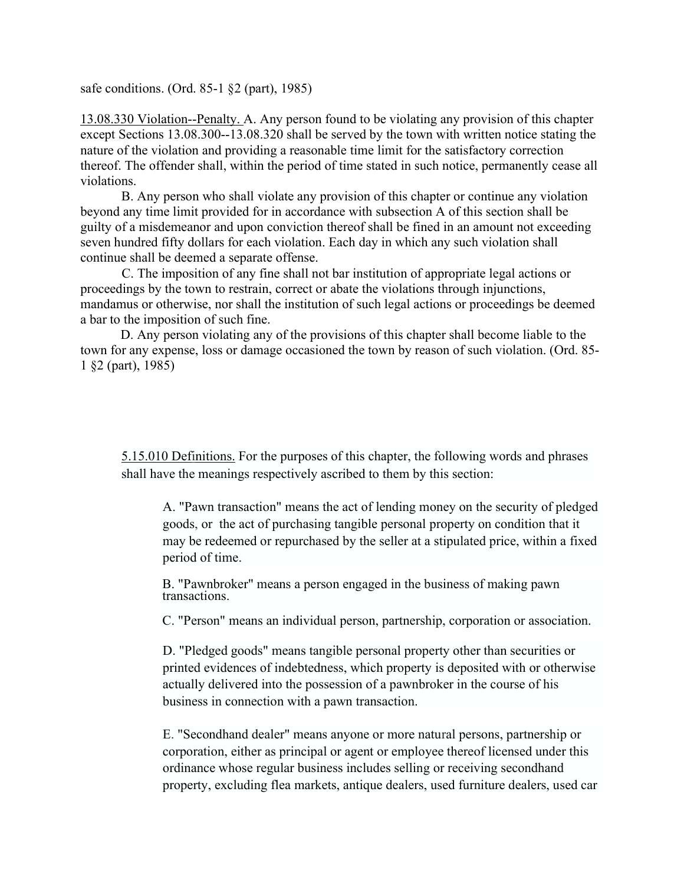safe conditions. (Ord. 85-1 §2 (part), 1985)

13.08.330 Violation--Penalty. A. Any person found to be violating any provision of this chapter except Sections 13.08.300--13.08.320 shall be served by the town with written notice stating the nature of the violation and providing a reasonable time limit for the satisfactory correction thereof. The offender shall, within the period of time stated in such notice, permanently cease all violations.

B. Any person who shall violate any provision of this chapter or continue any violation beyond any time limit provided for in accordance with subsection A of this section shall be guilty of a misdemeanor and upon conviction thereof shall be fined in an amount not exceeding seven hundred fifty dollars for each violation. Each day in which any such violation shall continue shall be deemed a separate offense.

C. The imposition of any fine shall not bar institution of appropriate legal actions or proceedings by the town to restrain, correct or abate the violations through injunctions, mandamus or otherwise, nor shall the institution of such legal actions or proceedings be deemed a bar to the imposition of such fine.

D. Any person violating any of the provisions of this chapter shall become liable to the town for any expense, loss or damage occasioned the town by reason of such violation. (Ord. 85- 1 §2 (part), 1985)

5.15.010 Definitions. For the purposes of this chapter, the following words and phrases shall have the meanings respectively ascribed to them by this section:

A. "Pawn transaction" means the act of lending money on the security of pledged goods, or the act of purchasing tangible personal property on condition that it may be redeemed or repurchased by the seller at a stipulated price, within a fixed period of time.

B. "Pawnbroker" means a person engaged in the business of making pawn transactions.

C. "Person" means an individual person, partnership, corporation or association.

D. "Pledged goods" means tangible personal property other than securities or printed evidences of indebtedness, which property is deposited with or otherwise actually delivered into the possession of a pawnbroker in the course of his business in connection with a pawn transaction.

E. "Secondhand dealer" means anyone or more natural persons, partnership or corporation, either as principal or agent or employee thereof licensed under this ordinance whose regular business includes selling or receiving secondhand property, excluding flea markets, antique dealers, used furniture dealers, used car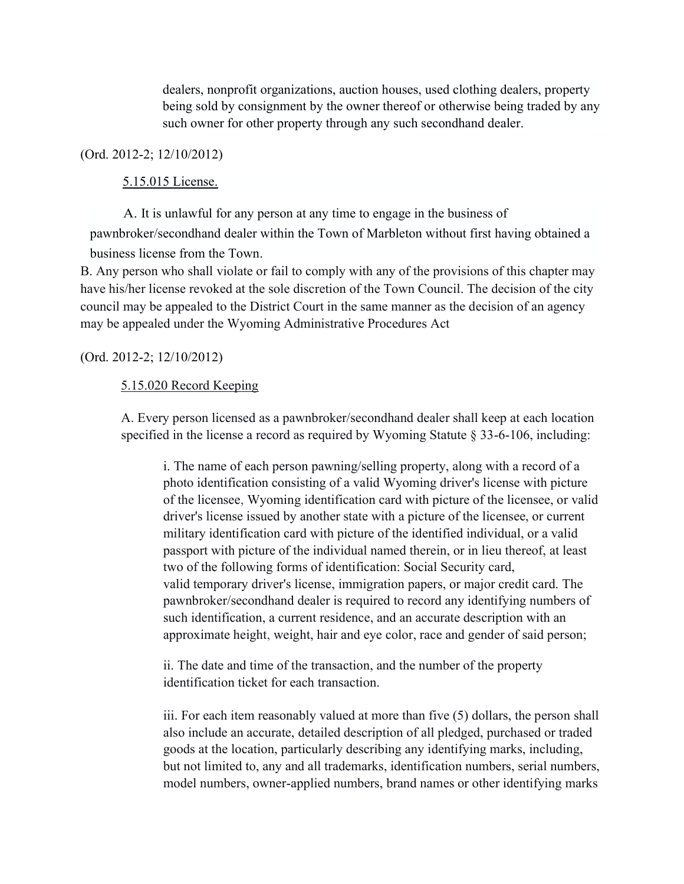dealers, nonprofit organizations, auction houses, used clothing dealers, property being sold by consignment by the owner thereof or otherwise being traded by any such owner for other property through any such secondhand dealer.

# (Ord. 2012-2; 12/10/2012)

# 5.15.015 License.

A. It is unlawful for any person at any time to engage in the business of pawnbroker/secondhand dealer within the Town of Marbleton without first having obtained a business license from the Town.

B. Any person who shall violate or fail to comply with any of the provisions of this chapter may have his/her license revoked at the sole discretion of the Town Council. The decision of the city council may be appealed to the District Court in the same manner as the decision of an agency may be appealed under the Wyoming Administrative Procedures Act

# (Ord. 2012-2; 12/10/2012)

# 5.15.020 Record Keeping

A. Every person licensed as a pawnbroker/secondhand dealer shall keep at each location specified in the license a record as required by Wyoming Statute § 33-6-106, including:

i. The name of each person pawning/selling property, along with a record of a photo identification consisting of a valid Wyoming driver's license with picture of the licensee, Wyoming identification card with picture of the licensee, or valid driver's license issued by another state with a picture of the licensee, or current military identification card with picture of the identified individual, or a valid passport with picture of the individual named therein, or in lieu thereof, at least two of the following forms of identification: Social Security card, valid temporary driver's license, immigration papers, or major credit card. The pawnbroker/secondhand dealer is required to record any identifying numbers of such identification, a current residence, and an accurate description with an approximate height, weight, hair and eye color, race and gender of said person;

ii. The date and time of the transaction, and the number of the property identification ticket for each transaction.

iii. For each item reasonably valued at more than five (5) dollars, the person shall also include an accurate, detailed description of all pledged, purchased or traded goods at the location, particularly describing any identifying marks, including, but not limited to, any and all trademarks, identification numbers, serial numbers, model numbers, owner-applied numbers, brand names or other identifying marks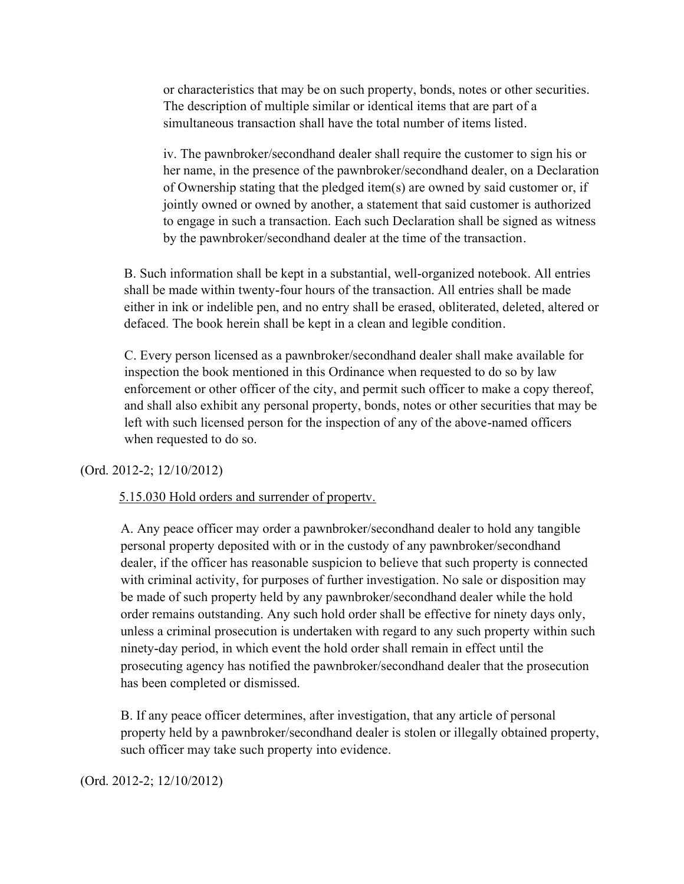or characteristics that may be on such property, bonds, notes or other securities. The description of multiple similar or identical items that are part of a simultaneous transaction shall have the total number of items listed.

iv. The pawnbroker/secondhand dealer shall require the customer to sign his or her name, in the presence of the pawnbroker/secondhand dealer, on a Declaration of Ownership stating that the pledged item(s) are owned by said customer or, if jointly owned or owned by another, a statement that said customer is authorized to engage in such a transaction. Each such Declaration shall be signed as witness by the pawnbroker/secondhand dealer at the time of the transaction.

B. Such information shall be kept in a substantial, well-organized notebook. All entries shall be made within twenty-four hours of the transaction. All entries shall be made either in ink or indelible pen, and no entry shall be erased, obliterated, deleted, altered or defaced. The book herein shall be kept in a clean and legible condition.

C. Every person licensed as a pawnbroker/secondhand dealer shall make available for inspection the book mentioned in this Ordinance when requested to do so by law enforcement or other officer of the city, and permit such officer to make a copy thereof, and shall also exhibit any personal property, bonds, notes or other securities that may be left with such licensed person for the inspection of any of the above-named officers when requested to do so.

### (Ord. 2012-2; 12/10/2012)

### 5.15.030 Hold orders and surrender of propertv.

A. Any peace officer may order a pawnbroker/secondhand dealer to hold any tangible personal property deposited with or in the custody of any pawnbroker/secondhand dealer, if the officer has reasonable suspicion to believe that such property is connected with criminal activity, for purposes of further investigation. No sale or disposition may be made of such property held by any pawnbroker/secondhand dealer while the hold order remains outstanding. Any such hold order shall be effective for ninety days only, unless a criminal prosecution is undertaken with regard to any such property within such ninety-day period, in which event the hold order shall remain in effect until the prosecuting agency has notified the pawnbroker/secondhand dealer that the prosecution has been completed or dismissed.

B. If any peace officer determines, after investigation, that any article of personal property held by a pawnbroker/secondhand dealer is stolen or illegally obtained property, such officer may take such property into evidence.

(Ord. 2012-2; 12/10/2012)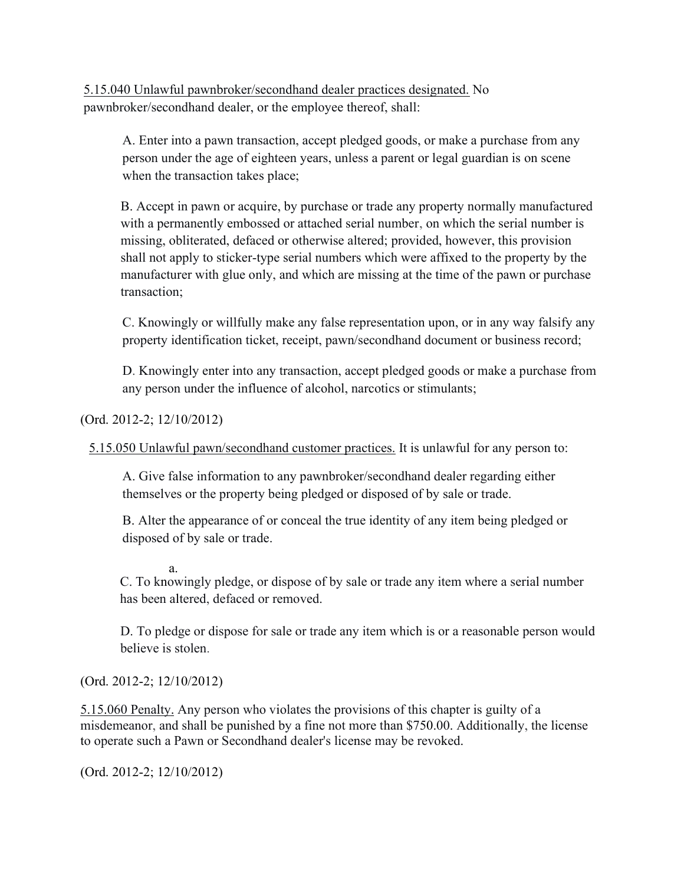5.15.040 Unlawful pawnbroker/secondhand dealer practices designated. No pawnbroker/secondhand dealer, or the employee thereof, shall:

A. Enter into a pawn transaction, accept pledged goods, or make a purchase from any person under the age of eighteen years, unless a parent or legal guardian is on scene when the transaction takes place;

B. Accept in pawn or acquire, by purchase or trade any property normally manufactured with a permanently embossed or attached serial number, on which the serial number is missing, obliterated, defaced or otherwise altered; provided, however, this provision shall not apply to sticker-type serial numbers which were affixed to the property by the manufacturer with glue only, and which are missing at the time of the pawn or purchase transaction;

C. Knowingly or willfully make any false representation upon, or in any way falsify any property identification ticket, receipt, pawn/secondhand document or business record;

D. Knowingly enter into any transaction, accept pledged goods or make a purchase from any person under the influence of alcohol, narcotics or stimulants;

(Ord. 2012-2; 12/10/2012)

5.15.050 Unlawful pawn/secondhand customer practices. It is unlawful for any person to:

A. Give false information to any pawnbroker/secondhand dealer regarding either themselves or the property being pledged or disposed of by sale or trade.

B. Alter the appearance of or conceal the true identity of any item being pledged or disposed of by sale or trade.

a.

C. To knowingly pledge, or dispose of by sale or trade any item where a serial number has been altered, defaced or removed.

D. To pledge or dispose for sale or trade any item which is or a reasonable person would believe is stolen.

(Ord. 2012-2; 12/10/2012)

5.15.060 Penalty. Any person who violates the provisions of this chapter is guilty of a misdemeanor, and shall be punished by a fine not more than \$750.00. Additionally, the license to operate such a Pawn or Secondhand dealer's license may be revoked.

(Ord. 2012-2; 12/10/2012)